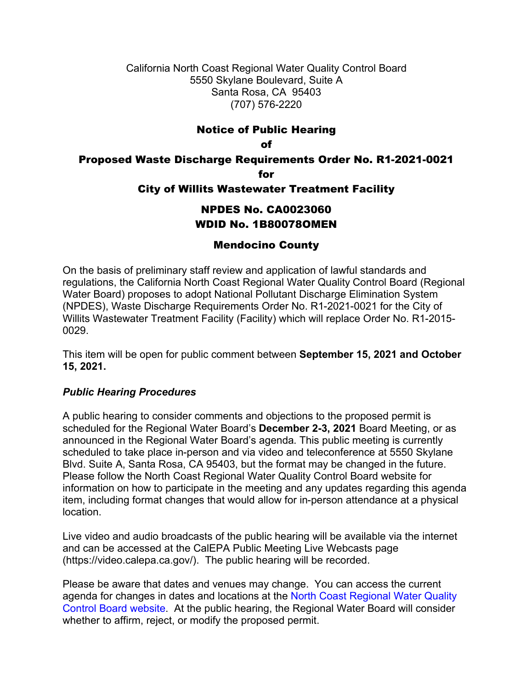California North Coast Regional Water Quality Control Board 5550 Skylane Boulevard, Suite A Santa Rosa, CA 95403 (707) 576-2220

#### Notice of Public Hearing of

# Proposed Waste Discharge Requirements Order No. R1-2021-0021 for City of Willits Wastewater Treatment Facility

## NPDES No. CA0023060 WDID No. 1B80078OMEN

### Mendocino County

On the basis of preliminary staff review and application of lawful standards and regulations, the California North Coast Regional Water Quality Control Board (Regional Water Board) proposes to adopt National Pollutant Discharge Elimination System (NPDES), Waste Discharge Requirements Order No. R1-2021-0021 for the City of Willits Wastewater Treatment Facility (Facility) which will replace Order No. R1-2015- 0029.

This item will be open for public comment between **September 15, 2021 and October 15, 2021.**

### *Public Hearing Procedures*

A public hearing to consider comments and objections to the proposed permit is scheduled for the Regional Water Board's **December 2-3, 2021** Board Meeting, or as announced in the Regional Water Board's agenda. This public meeting is currently scheduled to take place in-person and via video and teleconference at 5550 Skylane Blvd. Suite A, Santa Rosa, CA 95403, but the format may be changed in the future. Please follow the North Coast Regional Water Quality Control Board website for information on how to participate in the meeting and any updates regarding this agenda item, including format changes that would allow for in-person attendance at a physical location.

Live video and audio broadcasts of the public hearing will be available via the internet and can be accessed at the CalEPA Public Meeting Live Webcasts page (https://video.calepa.ca.gov/). The public hearing will be recorded.

Please be aware that dates and venues may change. You can access the current agenda for changes in dates and locations at the [North Coast Regional Water Quality](https://www.waterboards.ca.gov/northcoast/)  [Control Board website](https://www.waterboards.ca.gov/northcoast/). At the public hearing, the Regional Water Board will consider whether to affirm, reject, or modify the proposed permit.